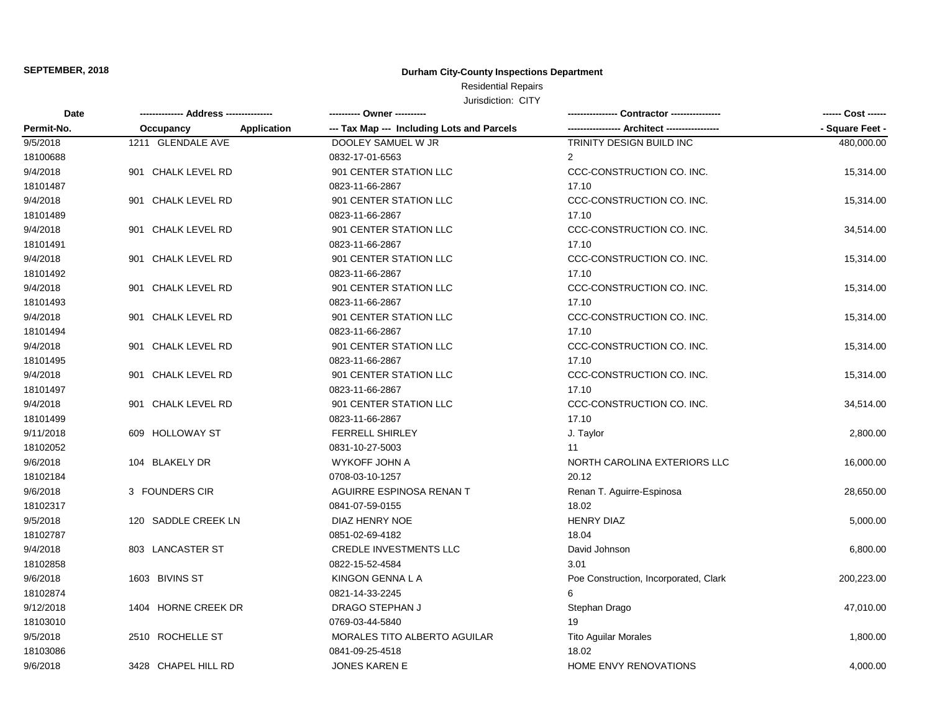## **Durham City-County Inspections Department**

# Residential Repairs

| <b>Date</b> |                       |                                                                  |                                             | ------ Cost ------ |
|-------------|-----------------------|------------------------------------------------------------------|---------------------------------------------|--------------------|
| Permit-No.  | Occupancy             | --- Tax Map --- Including Lots and Parcels<br><b>Application</b> | ---------------- Architect ---------------- | - Square Feet -    |
| 9/5/2018    | 1211 GLENDALE AVE     | DOOLEY SAMUEL W JR                                               | TRINITY DESIGN BUILD INC                    | 480,000.00         |
| 18100688    |                       | 0832-17-01-6563                                                  | $\overline{2}$                              |                    |
| 9/4/2018    | 901 CHALK LEVEL RD    | 901 CENTER STATION LLC                                           | CCC-CONSTRUCTION CO. INC.                   | 15,314.00          |
| 18101487    |                       | 0823-11-66-2867                                                  | 17.10                                       |                    |
| 9/4/2018    | 901 CHALK LEVEL RD    | 901 CENTER STATION LLC                                           | CCC-CONSTRUCTION CO. INC.                   | 15,314.00          |
| 18101489    |                       | 0823-11-66-2867                                                  | 17.10                                       |                    |
| 9/4/2018    | 901 CHALK LEVEL RD    | 901 CENTER STATION LLC                                           | CCC-CONSTRUCTION CO. INC.                   | 34,514.00          |
| 18101491    |                       | 0823-11-66-2867                                                  | 17.10                                       |                    |
| 9/4/2018    | CHALK LEVEL RD<br>901 | 901 CENTER STATION LLC                                           | CCC-CONSTRUCTION CO. INC.                   | 15,314.00          |
| 18101492    |                       | 0823-11-66-2867                                                  | 17.10                                       |                    |
| 9/4/2018    | 901 CHALK LEVEL RD    | 901 CENTER STATION LLC                                           | CCC-CONSTRUCTION CO. INC.                   | 15,314.00          |
| 18101493    |                       | 0823-11-66-2867                                                  | 17.10                                       |                    |
| 9/4/2018    | 901 CHALK LEVEL RD    | 901 CENTER STATION LLC                                           | CCC-CONSTRUCTION CO. INC.                   | 15,314.00          |
| 18101494    |                       | 0823-11-66-2867                                                  | 17.10                                       |                    |
| 9/4/2018    | CHALK LEVEL RD<br>901 | 901 CENTER STATION LLC                                           | CCC-CONSTRUCTION CO. INC.                   | 15,314.00          |
| 18101495    |                       | 0823-11-66-2867                                                  | 17.10                                       |                    |
| 9/4/2018    | CHALK LEVEL RD<br>901 | 901 CENTER STATION LLC                                           | CCC-CONSTRUCTION CO. INC.                   | 15,314.00          |
| 18101497    |                       | 0823-11-66-2867                                                  | 17.10                                       |                    |
| 9/4/2018    | 901 CHALK LEVEL RD    | 901 CENTER STATION LLC                                           | CCC-CONSTRUCTION CO. INC.                   | 34,514.00          |
| 18101499    |                       | 0823-11-66-2867                                                  | 17.10                                       |                    |
| 9/11/2018   | 609 HOLLOWAY ST       | <b>FERRELL SHIRLEY</b>                                           | J. Taylor                                   | 2,800.00           |
| 18102052    |                       | 0831-10-27-5003                                                  | 11                                          |                    |
| 9/6/2018    | 104 BLAKELY DR        | WYKOFF JOHN A                                                    | NORTH CAROLINA EXTERIORS LLC                | 16,000.00          |
| 18102184    |                       | 0708-03-10-1257                                                  | 20.12                                       |                    |
| 9/6/2018    | 3 FOUNDERS CIR        | AGUIRRE ESPINOSA RENAN T                                         | Renan T. Aguirre-Espinosa                   | 28,650.00          |
| 18102317    |                       | 0841-07-59-0155                                                  | 18.02                                       |                    |
| 9/5/2018    | 120 SADDLE CREEK LN   | DIAZ HENRY NOE                                                   | <b>HENRY DIAZ</b>                           | 5,000.00           |
| 18102787    |                       | 0851-02-69-4182                                                  | 18.04                                       |                    |
| 9/4/2018    | 803 LANCASTER ST      | <b>CREDLE INVESTMENTS LLC</b>                                    | David Johnson                               | 6,800.00           |
| 18102858    |                       | 0822-15-52-4584                                                  | 3.01                                        |                    |
| 9/6/2018    | 1603 BIVINS ST        | KINGON GENNA L A                                                 | Poe Construction, Incorporated, Clark       | 200,223.00         |
| 18102874    |                       | 0821-14-33-2245                                                  | 6                                           |                    |
| 9/12/2018   | 1404 HORNE CREEK DR   | DRAGO STEPHAN J                                                  | Stephan Drago                               | 47,010.00          |
| 18103010    |                       | 0769-03-44-5840                                                  | 19                                          |                    |
| 9/5/2018    | 2510 ROCHELLE ST      | MORALES TITO ALBERTO AGUILAR                                     | <b>Tito Aguilar Morales</b>                 | 1,800.00           |
| 18103086    |                       | 0841-09-25-4518                                                  | 18.02                                       |                    |
| 9/6/2018    | 3428 CHAPEL HILL RD   | <b>JONES KAREN E</b>                                             | HOME ENVY RENOVATIONS                       | 4,000.00           |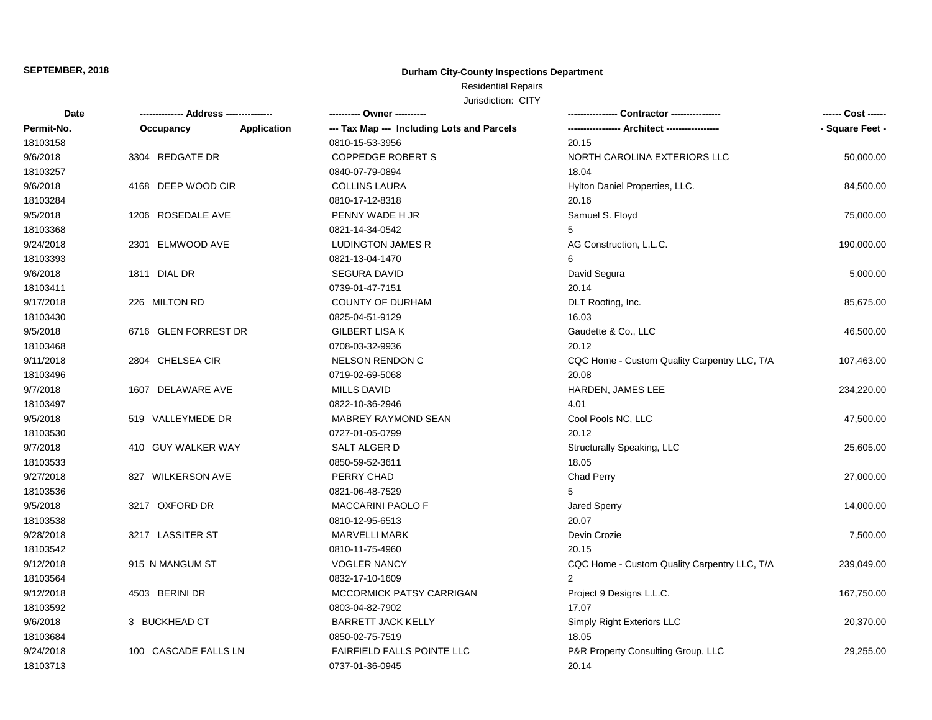## **Durham City-County Inspections Department**

# Residential Repairs

| <b>Date</b> |                         |             | ---------- Owner ----------                |                                              | ------ Cost ------ |
|-------------|-------------------------|-------------|--------------------------------------------|----------------------------------------------|--------------------|
| Permit-No.  | Occupancy               | Application | --- Tax Map --- Including Lots and Parcels |                                              | - Square Feet -    |
| 18103158    |                         |             | 0810-15-53-3956                            | 20.15                                        |                    |
| 9/6/2018    | 3304 REDGATE DR         |             | <b>COPPEDGE ROBERT S</b>                   | NORTH CAROLINA EXTERIORS LLC                 | 50,000.00          |
| 18103257    |                         |             | 0840-07-79-0894                            | 18.04                                        |                    |
| 9/6/2018    | 4168 DEEP WOOD CIR      |             | <b>COLLINS LAURA</b>                       | Hylton Daniel Properties, LLC.               | 84,500.00          |
| 18103284    |                         |             | 0810-17-12-8318                            | 20.16                                        |                    |
| 9/5/2018    | 1206 ROSEDALE AVE       |             | PENNY WADE H JR                            | Samuel S. Floyd                              | 75,000.00          |
| 18103368    |                         |             | 0821-14-34-0542                            | 5                                            |                    |
| 9/24/2018   | 2301 ELMWOOD AVE        |             | <b>LUDINGTON JAMES R</b>                   | AG Construction, L.L.C.                      | 190,000.00         |
| 18103393    |                         |             | 0821-13-04-1470                            | 6                                            |                    |
| 9/6/2018    | 1811 DIAL DR            |             | <b>SEGURA DAVID</b>                        | David Segura                                 | 5,000.00           |
| 18103411    |                         |             | 0739-01-47-7151                            | 20.14                                        |                    |
| 9/17/2018   | 226 MILTON RD           |             | COUNTY OF DURHAM                           | DLT Roofing, Inc.                            | 85,675.00          |
| 18103430    |                         |             | 0825-04-51-9129                            | 16.03                                        |                    |
| 9/5/2018    | 6716 GLEN FORREST DR    |             | <b>GILBERT LISA K</b>                      | Gaudette & Co., LLC                          | 46,500.00          |
| 18103468    |                         |             | 0708-03-32-9936                            | 20.12                                        |                    |
| 9/11/2018   | 2804 CHELSEA CIR        |             | <b>NELSON RENDON C</b>                     | CQC Home - Custom Quality Carpentry LLC, T/A | 107,463.00         |
| 18103496    |                         |             | 0719-02-69-5068                            | 20.08                                        |                    |
| 9/7/2018    | 1607 DELAWARE AVE       |             | <b>MILLS DAVID</b>                         | HARDEN, JAMES LEE                            | 234,220.00         |
| 18103497    |                         |             | 0822-10-36-2946                            | 4.01                                         |                    |
| 9/5/2018    | 519 VALLEYMEDE DR       |             | MABREY RAYMOND SEAN                        | Cool Pools NC, LLC                           | 47,500.00          |
| 18103530    |                         |             | 0727-01-05-0799                            | 20.12                                        |                    |
| 9/7/2018    | 410 GUY WALKER WAY      |             | SALT ALGER D                               | Structurally Speaking, LLC                   | 25,605.00          |
| 18103533    |                         |             | 0850-59-52-3611                            | 18.05                                        |                    |
| 9/27/2018   | 827 WILKERSON AVE       |             | PERRY CHAD                                 | Chad Perry                                   | 27,000.00          |
| 18103536    |                         |             | 0821-06-48-7529                            | 5                                            |                    |
| 9/5/2018    | 3217 OXFORD DR          |             | <b>MACCARINI PAOLO F</b>                   | Jared Sperry                                 | 14,000.00          |
| 18103538    |                         |             | 0810-12-95-6513                            | 20.07                                        |                    |
| 9/28/2018   | 3217 LASSITER ST        |             | <b>MARVELLI MARK</b>                       | Devin Crozie                                 | 7,500.00           |
| 18103542    |                         |             | 0810-11-75-4960                            | 20.15                                        |                    |
| 9/12/2018   | 915 N MANGUM ST         |             | <b>VOGLER NANCY</b>                        | CQC Home - Custom Quality Carpentry LLC, T/A | 239,049.00         |
| 18103564    |                         |             | 0832-17-10-1609                            | $\overline{2}$                               |                    |
| 9/12/2018   | 4503 BERINI DR          |             | MCCORMICK PATSY CARRIGAN                   | Project 9 Designs L.L.C.                     | 167,750.00         |
| 18103592    |                         |             | 0803-04-82-7902                            | 17.07                                        |                    |
| 9/6/2018    | 3 BUCKHEAD CT           |             | <b>BARRETT JACK KELLY</b>                  | Simply Right Exteriors LLC                   | 20,370.00          |
| 18103684    |                         |             | 0850-02-75-7519                            | 18.05                                        |                    |
| 9/24/2018   | CASCADE FALLS LN<br>100 |             | <b>FAIRFIELD FALLS POINTE LLC</b>          | P&R Property Consulting Group, LLC           | 29,255.00          |
| 18103713    |                         |             | 0737-01-36-0945                            | 20.14                                        |                    |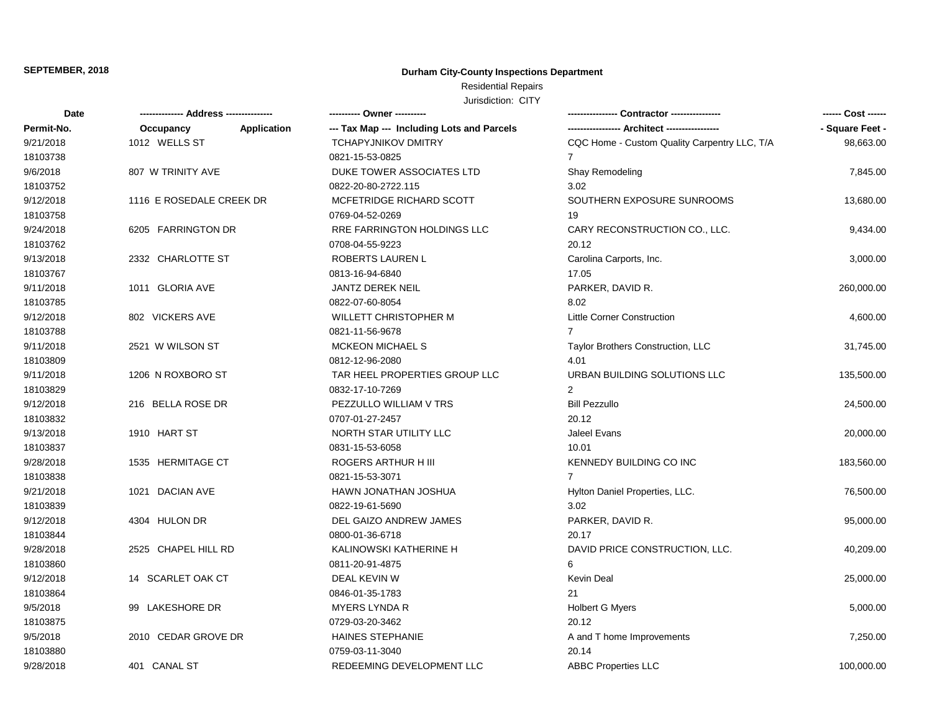## **Durham City-County Inspections Department**

# Residential Repairs

| <b>Date</b> |                          |                    | ---------- Owner ----------                |                                              | ------ Cost ------ |
|-------------|--------------------------|--------------------|--------------------------------------------|----------------------------------------------|--------------------|
| Permit-No.  | Occupancy                | <b>Application</b> | --- Tax Map --- Including Lots and Parcels | ---------------- Architect ----------------  | - Square Feet -    |
| 9/21/2018   | 1012 WELLS ST            |                    | <b>TCHAPYJNIKOV DMITRY</b>                 | CQC Home - Custom Quality Carpentry LLC, T/A | 98,663.00          |
| 18103738    |                          |                    | 0821-15-53-0825                            | 7                                            |                    |
| 9/6/2018    | 807 W TRINITY AVE        |                    | DUKE TOWER ASSOCIATES LTD                  | Shay Remodeling                              | 7,845.00           |
| 18103752    |                          |                    | 0822-20-80-2722.115                        | 3.02                                         |                    |
| 9/12/2018   | 1116 E ROSEDALE CREEK DR |                    | MCFETRIDGE RICHARD SCOTT                   | SOUTHERN EXPOSURE SUNROOMS                   | 13,680.00          |
| 18103758    |                          |                    | 0769-04-52-0269                            | 19                                           |                    |
| 9/24/2018   | 6205 FARRINGTON DR       |                    | RRE FARRINGTON HOLDINGS LLC                | CARY RECONSTRUCTION CO., LLC.                | 9,434.00           |
| 18103762    |                          |                    | 0708-04-55-9223                            | 20.12                                        |                    |
| 9/13/2018   | 2332 CHARLOTTE ST        |                    | ROBERTS LAUREN L                           | Carolina Carports, Inc.                      | 3,000.00           |
| 18103767    |                          |                    | 0813-16-94-6840                            | 17.05                                        |                    |
| 9/11/2018   | 1011 GLORIA AVE          |                    | <b>JANTZ DEREK NEIL</b>                    | PARKER, DAVID R.                             | 260,000.00         |
| 18103785    |                          |                    | 0822-07-60-8054                            | 8.02                                         |                    |
| 9/12/2018   | 802 VICKERS AVE          |                    | <b>WILLETT CHRISTOPHER M</b>               | <b>Little Corner Construction</b>            | 4,600.00           |
| 18103788    |                          |                    | 0821-11-56-9678                            |                                              |                    |
| 9/11/2018   | 2521 W WILSON ST         |                    | <b>MCKEON MICHAEL S</b>                    | <b>Taylor Brothers Construction, LLC</b>     | 31,745.00          |
| 18103809    |                          |                    | 0812-12-96-2080                            | 4.01                                         |                    |
| 9/11/2018   | 1206 N ROXBORO ST        |                    | TAR HEEL PROPERTIES GROUP LLC              | URBAN BUILDING SOLUTIONS LLC                 | 135,500.00         |
| 18103829    |                          |                    | 0832-17-10-7269                            | $\overline{2}$                               |                    |
| 9/12/2018   | 216 BELLA ROSE DR        |                    | PEZZULLO WILLIAM V TRS                     | <b>Bill Pezzullo</b>                         | 24,500.00          |
| 18103832    |                          |                    | 0707-01-27-2457                            | 20.12                                        |                    |
| 9/13/2018   | 1910 HART ST             |                    | NORTH STAR UTILITY LLC                     | Jaleel Evans                                 | 20,000.00          |
| 18103837    |                          |                    | 0831-15-53-6058                            | 10.01                                        |                    |
| 9/28/2018   | 1535 HERMITAGE CT        |                    | ROGERS ARTHUR H III                        | KENNEDY BUILDING CO INC                      | 183,560.00         |
| 18103838    |                          |                    | 0821-15-53-3071                            | $\overline{7}$                               |                    |
| 9/21/2018   | 1021 DACIAN AVE          |                    | HAWN JONATHAN JOSHUA                       | Hylton Daniel Properties, LLC.               | 76,500.00          |
| 18103839    |                          |                    | 0822-19-61-5690                            | 3.02                                         |                    |
| 9/12/2018   | 4304 HULON DR            |                    | DEL GAIZO ANDREW JAMES                     | PARKER, DAVID R.                             | 95,000.00          |
| 18103844    |                          |                    | 0800-01-36-6718                            | 20.17                                        |                    |
| 9/28/2018   | 2525 CHAPEL HILL RD      |                    | KALINOWSKI KATHERINE H                     | DAVID PRICE CONSTRUCTION, LLC.               | 40,209.00          |
| 18103860    |                          |                    | 0811-20-91-4875                            | 6                                            |                    |
| 9/12/2018   | 14 SCARLET OAK CT        |                    | DEAL KEVIN W                               | <b>Kevin Deal</b>                            | 25,000.00          |
| 18103864    |                          |                    | 0846-01-35-1783                            | 21                                           |                    |
| 9/5/2018    | 99 LAKESHORE DR          |                    | <b>MYERS LYNDA R</b>                       | <b>Holbert G Myers</b>                       | 5,000.00           |
| 18103875    |                          |                    | 0729-03-20-3462                            | 20.12                                        |                    |
| 9/5/2018    | 2010 CEDAR GROVE DR      |                    | <b>HAINES STEPHANIE</b>                    | A and T home Improvements                    | 7,250.00           |
| 18103880    |                          |                    | 0759-03-11-3040                            | 20.14                                        |                    |
| 9/28/2018   | 401 CANAL ST             |                    | REDEEMING DEVELOPMENT LLC                  | <b>ABBC Properties LLC</b>                   | 100,000.00         |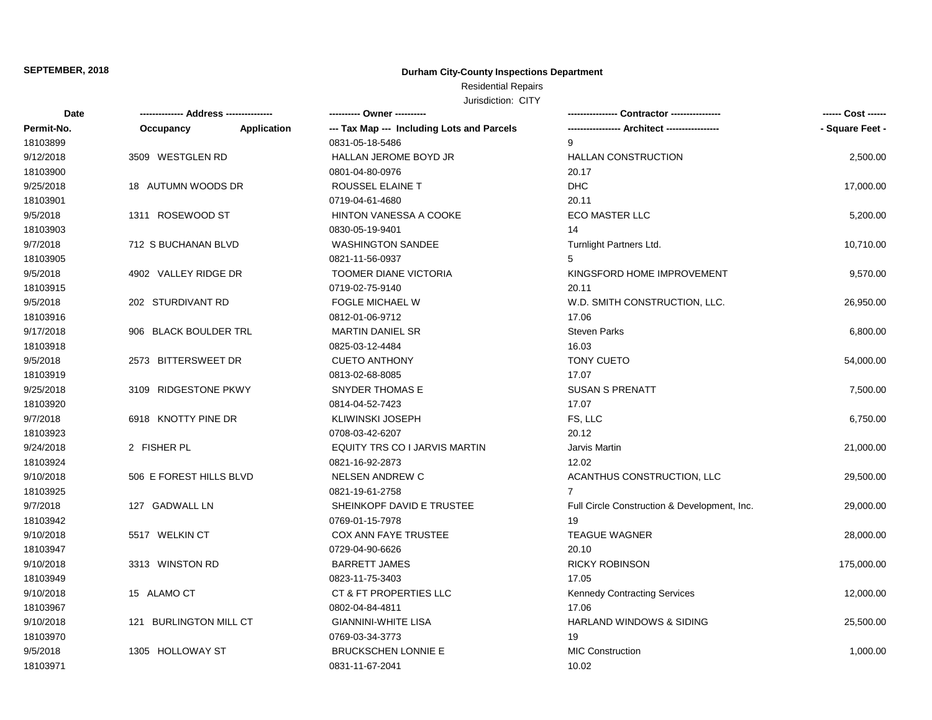## **Durham City-County Inspections Department**

# Residential Repairs

| Date       | -------------- Address --------------- |                    |                                            |                                              | ------ Cost ------ |
|------------|----------------------------------------|--------------------|--------------------------------------------|----------------------------------------------|--------------------|
| Permit-No. | Occupancy                              | <b>Application</b> | --- Tax Map --- Including Lots and Parcels |                                              | - Square Feet -    |
| 18103899   |                                        |                    | 0831-05-18-5486                            | 9                                            |                    |
| 9/12/2018  | 3509 WESTGLEN RD                       |                    | HALLAN JEROME BOYD JR                      | <b>HALLAN CONSTRUCTION</b>                   | 2,500.00           |
| 18103900   |                                        |                    | 0801-04-80-0976                            | 20.17                                        |                    |
| 9/25/2018  | 18 AUTUMN WOODS DR                     |                    | ROUSSEL ELAINE T                           | <b>DHC</b>                                   | 17,000.00          |
| 18103901   |                                        |                    | 0719-04-61-4680                            | 20.11                                        |                    |
| 9/5/2018   | 1311 ROSEWOOD ST                       |                    | <b>HINTON VANESSA A COOKE</b>              | ECO MASTER LLC                               | 5,200.00           |
| 18103903   |                                        |                    | 0830-05-19-9401                            | 14                                           |                    |
| 9/7/2018   | 712 S BUCHANAN BLVD                    |                    | <b>WASHINGTON SANDEE</b>                   | Turnlight Partners Ltd.                      | 10,710.00          |
| 18103905   |                                        |                    | 0821-11-56-0937                            | 5                                            |                    |
| 9/5/2018   | 4902 VALLEY RIDGE DR                   |                    | <b>TOOMER DIANE VICTORIA</b>               | KINGSFORD HOME IMPROVEMENT                   | 9,570.00           |
| 18103915   |                                        |                    | 0719-02-75-9140                            | 20.11                                        |                    |
| 9/5/2018   | 202 STURDIVANT RD                      |                    | <b>FOGLE MICHAEL W</b>                     | W.D. SMITH CONSTRUCTION, LLC.                | 26,950.00          |
| 18103916   |                                        |                    | 0812-01-06-9712                            | 17.06                                        |                    |
| 9/17/2018  | 906 BLACK BOULDER TRL                  |                    | <b>MARTIN DANIEL SR</b>                    | <b>Steven Parks</b>                          | 6,800.00           |
| 18103918   |                                        |                    | 0825-03-12-4484                            | 16.03                                        |                    |
| 9/5/2018   | 2573 BITTERSWEET DR                    |                    | <b>CUETO ANTHONY</b>                       | <b>TONY CUETO</b>                            | 54,000.00          |
| 18103919   |                                        |                    | 0813-02-68-8085                            | 17.07                                        |                    |
| 9/25/2018  | 3109 RIDGESTONE PKWY                   |                    | <b>SNYDER THOMAS E</b>                     | <b>SUSAN S PRENATT</b>                       | 7,500.00           |
| 18103920   |                                        |                    | 0814-04-52-7423                            | 17.07                                        |                    |
| 9/7/2018   | 6918 KNOTTY PINE DR                    |                    | <b>KLIWINSKI JOSEPH</b>                    | FS, LLC                                      | 6,750.00           |
| 18103923   |                                        |                    | 0708-03-42-6207                            | 20.12                                        |                    |
| 9/24/2018  | 2 FISHER PL                            |                    | EQUITY TRS CO I JARVIS MARTIN              | Jarvis Martin                                | 21,000.00          |
| 18103924   |                                        |                    | 0821-16-92-2873                            | 12.02                                        |                    |
| 9/10/2018  | 506 E FOREST HILLS BLVD                |                    | <b>NELSEN ANDREW C</b>                     | ACANTHUS CONSTRUCTION, LLC                   | 29,500.00          |
| 18103925   |                                        |                    | 0821-19-61-2758                            | $\overline{7}$                               |                    |
| 9/7/2018   | 127 GADWALL LN                         |                    | SHEINKOPF DAVID E TRUSTEE                  | Full Circle Construction & Development, Inc. | 29,000.00          |
| 18103942   |                                        |                    | 0769-01-15-7978                            | 19                                           |                    |
| 9/10/2018  | 5517 WELKIN CT                         |                    | <b>COX ANN FAYE TRUSTEE</b>                | <b>TEAGUE WAGNER</b>                         | 28,000.00          |
| 18103947   |                                        |                    | 0729-04-90-6626                            | 20.10                                        |                    |
| 9/10/2018  | 3313 WINSTON RD                        |                    | <b>BARRETT JAMES</b>                       | <b>RICKY ROBINSON</b>                        | 175,000.00         |
| 18103949   |                                        |                    | 0823-11-75-3403                            | 17.05                                        |                    |
| 9/10/2018  | 15 ALAMO CT                            |                    | CT & FT PROPERTIES LLC                     | Kennedy Contracting Services                 | 12,000.00          |
| 18103967   |                                        |                    | 0802-04-84-4811                            | 17.06                                        |                    |
| 9/10/2018  | 121 BURLINGTON MILL CT                 |                    | <b>GIANNINI-WHITE LISA</b>                 | <b>HARLAND WINDOWS &amp; SIDING</b>          | 25,500.00          |
| 18103970   |                                        |                    | 0769-03-34-3773                            | 19                                           |                    |
| 9/5/2018   | 1305 HOLLOWAY ST                       |                    | <b>BRUCKSCHEN LONNIE E</b>                 | <b>MIC Construction</b>                      | 1,000.00           |
| 18103971   |                                        |                    | 0831-11-67-2041                            | 10.02                                        |                    |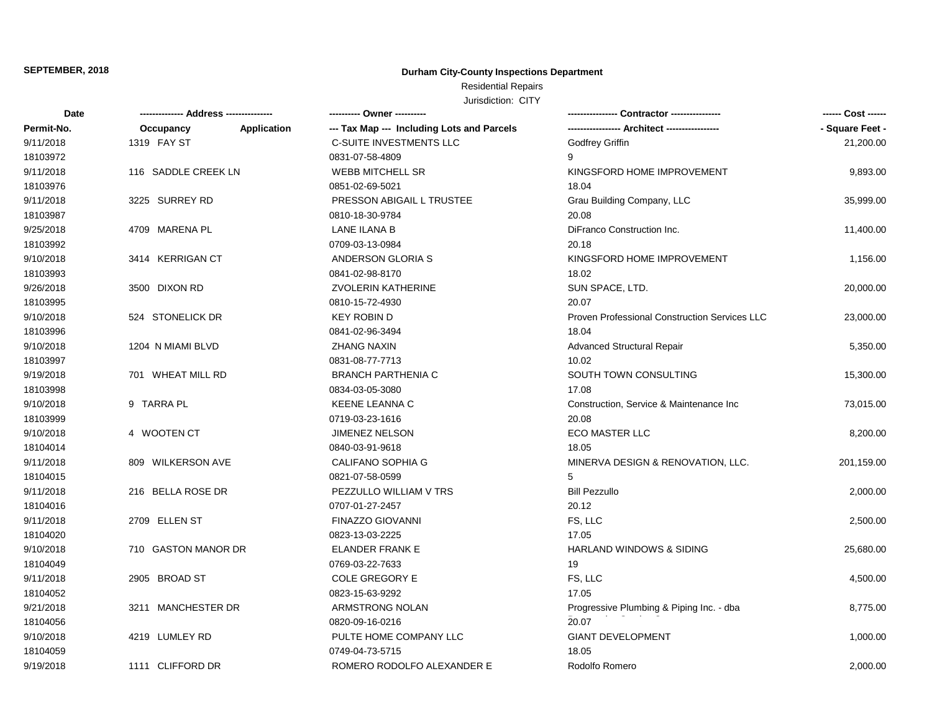## **Durham City-County Inspections Department**

# Residential Repairs

| Date       |                     |             | ---------- Owner ----------                |                                               | ------ Cost ------ |
|------------|---------------------|-------------|--------------------------------------------|-----------------------------------------------|--------------------|
| Permit-No. | Occupancy           | Application | --- Tax Map --- Including Lots and Parcels |                                               | - Square Feet -    |
| 9/11/2018  | 1319 FAY ST         |             | <b>C-SUITE INVESTMENTS LLC</b>             | Godfrey Griffin                               | 21,200.00          |
| 18103972   |                     |             | 0831-07-58-4809                            | 9                                             |                    |
| 9/11/2018  | 116 SADDLE CREEK LN |             | <b>WEBB MITCHELL SR</b>                    | KINGSFORD HOME IMPROVEMENT                    | 9,893.00           |
| 18103976   |                     |             | 0851-02-69-5021                            | 18.04                                         |                    |
| 9/11/2018  | 3225 SURREY RD      |             | PRESSON ABIGAIL L TRUSTEE                  | Grau Building Company, LLC                    | 35,999.00          |
| 18103987   |                     |             | 0810-18-30-9784                            | 20.08                                         |                    |
| 9/25/2018  | 4709 MARENA PL      |             | LANE ILANA B                               | DiFranco Construction Inc.                    | 11,400.00          |
| 18103992   |                     |             | 0709-03-13-0984                            | 20.18                                         |                    |
| 9/10/2018  | 3414 KERRIGAN CT    |             | ANDERSON GLORIA S                          | KINGSFORD HOME IMPROVEMENT                    | 1,156.00           |
| 18103993   |                     |             | 0841-02-98-8170                            | 18.02                                         |                    |
| 9/26/2018  | 3500 DIXON RD       |             | <b>ZVOLERIN KATHERINE</b>                  | SUN SPACE, LTD.                               | 20,000.00          |
| 18103995   |                     |             | 0810-15-72-4930                            | 20.07                                         |                    |
| 9/10/2018  | 524 STONELICK DR    |             | <b>KEY ROBIN D</b>                         | Proven Professional Construction Services LLC | 23,000.00          |
| 18103996   |                     |             | 0841-02-96-3494                            | 18.04                                         |                    |
| 9/10/2018  | 1204 N MIAMI BLVD   |             | <b>ZHANG NAXIN</b>                         | Advanced Structural Repair                    | 5,350.00           |
| 18103997   |                     |             | 0831-08-77-7713                            | 10.02                                         |                    |
| 9/19/2018  | 701 WHEAT MILL RD   |             | <b>BRANCH PARTHENIA C</b>                  | SOUTH TOWN CONSULTING                         | 15,300.00          |
| 18103998   |                     |             | 0834-03-05-3080                            | 17.08                                         |                    |
| 9/10/2018  | 9 TARRA PL          |             | <b>KEENE LEANNA C</b>                      | Construction, Service & Maintenance Inc       | 73,015.00          |
| 18103999   |                     |             | 0719-03-23-1616                            | 20.08                                         |                    |
| 9/10/2018  | 4 WOOTEN CT         |             | <b>JIMENEZ NELSON</b>                      | <b>ECO MASTER LLC</b>                         | 8,200.00           |
| 18104014   |                     |             | 0840-03-91-9618                            | 18.05                                         |                    |
| 9/11/2018  | 809 WILKERSON AVE   |             | CALIFANO SOPHIA G                          | MINERVA DESIGN & RENOVATION, LLC.             | 201,159.00         |
| 18104015   |                     |             | 0821-07-58-0599                            | 5                                             |                    |
| 9/11/2018  | 216 BELLA ROSE DR   |             | PEZZULLO WILLIAM V TRS                     | <b>Bill Pezzullo</b>                          | 2,000.00           |
| 18104016   |                     |             | 0707-01-27-2457                            | 20.12                                         |                    |
| 9/11/2018  | 2709 ELLEN ST       |             | FINAZZO GIOVANNI                           | FS, LLC                                       | 2,500.00           |
| 18104020   |                     |             | 0823-13-03-2225                            | 17.05                                         |                    |
| 9/10/2018  | 710 GASTON MANOR DR |             | <b>ELANDER FRANK E</b>                     | <b>HARLAND WINDOWS &amp; SIDING</b>           | 25,680.00          |
| 18104049   |                     |             | 0769-03-22-7633                            | 19                                            |                    |
| 9/11/2018  | 2905 BROAD ST       |             | COLE GREGORY E                             | FS, LLC                                       | 4,500.00           |
| 18104052   |                     |             | 0823-15-63-9292                            | 17.05                                         |                    |
| 9/21/2018  | 3211 MANCHESTER DR  |             | ARMSTRONG NOLAN                            | Progressive Plumbing & Piping Inc. - dba      | 8,775.00           |
| 18104056   |                     |             | 0820-09-16-0216                            | 20.07                                         |                    |
| 9/10/2018  | 4219 LUMLEY RD      |             | PULTE HOME COMPANY LLC                     | <b>GIANT DEVELOPMENT</b>                      | 1,000.00           |
| 18104059   |                     |             | 0749-04-73-5715                            | 18.05                                         |                    |
| 9/19/2018  | 1111 CLIFFORD DR    |             | ROMERO RODOLFO ALEXANDER E                 | Rodolfo Romero                                | 2,000.00           |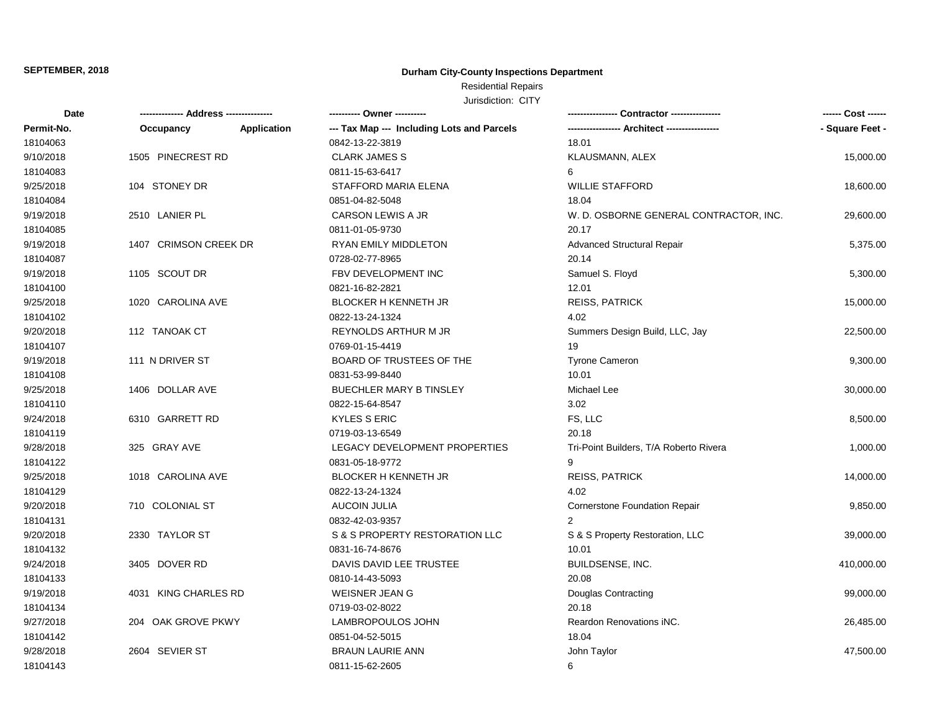## **Durham City-County Inspections Department**

## Residential Repairs

| Date       | -------------- Address --------------- |                    | ---------- Owner ----------                |                                        | ------ Cost ------ |
|------------|----------------------------------------|--------------------|--------------------------------------------|----------------------------------------|--------------------|
| Permit-No. | Occupancy                              | <b>Application</b> | --- Tax Map --- Including Lots and Parcels |                                        | - Square Feet -    |
| 18104063   |                                        |                    | 0842-13-22-3819                            | 18.01                                  |                    |
| 9/10/2018  | 1505 PINECREST RD                      |                    | <b>CLARK JAMES S</b>                       | KLAUSMANN, ALEX                        | 15,000.00          |
| 18104083   |                                        |                    | 0811-15-63-6417                            | 6                                      |                    |
| 9/25/2018  | 104 STONEY DR                          |                    | STAFFORD MARIA ELENA                       | <b>WILLIE STAFFORD</b>                 | 18,600.00          |
| 18104084   |                                        |                    | 0851-04-82-5048                            | 18.04                                  |                    |
| 9/19/2018  | 2510 LANIER PL                         |                    | CARSON LEWIS A JR                          | W. D. OSBORNE GENERAL CONTRACTOR, INC. | 29,600.00          |
| 18104085   |                                        |                    | 0811-01-05-9730                            | 20.17                                  |                    |
| 9/19/2018  | 1407 CRIMSON CREEK DR                  |                    | RYAN EMILY MIDDLETON                       | <b>Advanced Structural Repair</b>      | 5,375.00           |
| 18104087   |                                        |                    | 0728-02-77-8965                            | 20.14                                  |                    |
| 9/19/2018  | 1105 SCOUT DR                          |                    | FBV DEVELOPMENT INC                        | Samuel S. Floyd                        | 5,300.00           |
| 18104100   |                                        |                    | 0821-16-82-2821                            | 12.01                                  |                    |
| 9/25/2018  | 1020 CAROLINA AVE                      |                    | BLOCKER H KENNETH JR                       | <b>REISS, PATRICK</b>                  | 15,000.00          |
| 18104102   |                                        |                    | 0822-13-24-1324                            | 4.02                                   |                    |
| 9/20/2018  | 112 TANOAK CT                          |                    | REYNOLDS ARTHUR M JR                       | Summers Design Build, LLC, Jay         | 22,500.00          |
| 18104107   |                                        |                    | 0769-01-15-4419                            | 19                                     |                    |
| 9/19/2018  | 111 N DRIVER ST                        |                    | BOARD OF TRUSTEES OF THE                   | <b>Tyrone Cameron</b>                  | 9,300.00           |
| 18104108   |                                        |                    | 0831-53-99-8440                            | 10.01                                  |                    |
| 9/25/2018  | 1406 DOLLAR AVE                        |                    | <b>BUECHLER MARY B TINSLEY</b>             | Michael Lee                            | 30,000.00          |
| 18104110   |                                        |                    | 0822-15-64-8547                            | 3.02                                   |                    |
| 9/24/2018  | 6310 GARRETT RD                        |                    | <b>KYLES S ERIC</b>                        | FS, LLC                                | 8,500.00           |
| 18104119   |                                        |                    | 0719-03-13-6549                            | 20.18                                  |                    |
| 9/28/2018  | 325 GRAY AVE                           |                    | LEGACY DEVELOPMENT PROPERTIES              | Tri-Point Builders, T/A Roberto Rivera | 1,000.00           |
| 18104122   |                                        |                    | 0831-05-18-9772                            | 9                                      |                    |
| 9/25/2018  | 1018 CAROLINA AVE                      |                    | <b>BLOCKER H KENNETH JR</b>                | <b>REISS, PATRICK</b>                  | 14,000.00          |
| 18104129   |                                        |                    | 0822-13-24-1324                            | 4.02                                   |                    |
| 9/20/2018  | 710 COLONIAL ST                        |                    | AUCOIN JULIA                               | Cornerstone Foundation Repair          | 9,850.00           |
| 18104131   |                                        |                    | 0832-42-03-9357                            | $\overline{2}$                         |                    |
| 9/20/2018  | 2330 TAYLOR ST                         |                    | S & S PROPERTY RESTORATION LLC             | S & S Property Restoration, LLC        | 39,000.00          |
| 18104132   |                                        |                    | 0831-16-74-8676                            | 10.01                                  |                    |
| 9/24/2018  | 3405 DOVER RD                          |                    | DAVIS DAVID LEE TRUSTEE                    | BUILDSENSE, INC.                       | 410,000.00         |
| 18104133   |                                        |                    | 0810-14-43-5093                            | 20.08                                  |                    |
| 9/19/2018  | 4031 KING CHARLES RD                   |                    | <b>WEISNER JEAN G</b>                      | Douglas Contracting                    | 99,000.00          |
| 18104134   |                                        |                    | 0719-03-02-8022                            | 20.18                                  |                    |
| 9/27/2018  | 204 OAK GROVE PKWY                     |                    | LAMBROPOULOS JOHN                          | Reardon Renovations iNC.               | 26,485.00          |
| 18104142   |                                        |                    | 0851-04-52-5015                            | 18.04                                  |                    |
| 9/28/2018  | 2604 SEVIER ST                         |                    | <b>BRAUN LAURIE ANN</b>                    | John Taylor                            | 47,500.00          |
| 18104143   |                                        |                    | 0811-15-62-2605                            | 6                                      |                    |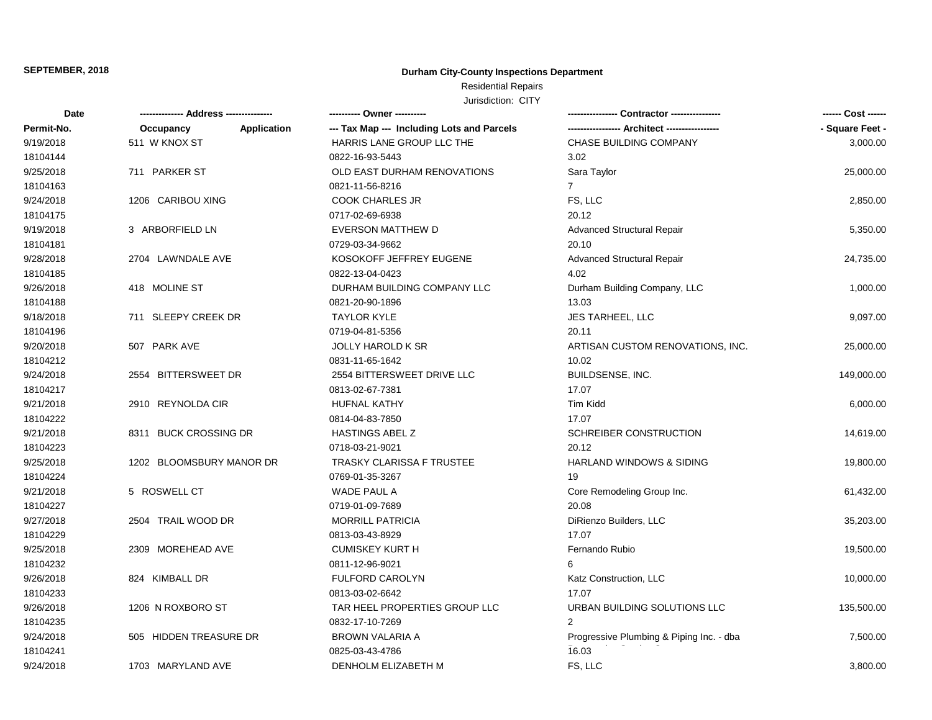## **Durham City-County Inspections Department**

## Residential Repairs

| Date       |                          |             | ---------- Owner ----------                |                                          | ------ Cost ------ |
|------------|--------------------------|-------------|--------------------------------------------|------------------------------------------|--------------------|
| Permit-No. | Occupancy                | Application | --- Tax Map --- Including Lots and Parcels |                                          | - Square Feet -    |
| 9/19/2018  | 511 W KNOX ST            |             | HARRIS LANE GROUP LLC THE                  | CHASE BUILDING COMPANY                   | 3,000.00           |
| 18104144   |                          |             | 0822-16-93-5443                            | 3.02                                     |                    |
| 9/25/2018  | 711 PARKER ST            |             | OLD EAST DURHAM RENOVATIONS                | Sara Taylor                              | 25,000.00          |
| 18104163   |                          |             | 0821-11-56-8216                            | $\overline{7}$                           |                    |
| 9/24/2018  | 1206 CARIBOU XING        |             | <b>COOK CHARLES JR</b>                     | FS, LLC                                  | 2,850.00           |
| 18104175   |                          |             | 0717-02-69-6938                            | 20.12                                    |                    |
| 9/19/2018  | 3 ARBORFIELD LN          |             | <b>EVERSON MATTHEW D</b>                   | <b>Advanced Structural Repair</b>        | 5,350.00           |
| 18104181   |                          |             | 0729-03-34-9662                            | 20.10                                    |                    |
| 9/28/2018  | 2704 LAWNDALE AVE        |             | KOSOKOFF JEFFREY EUGENE                    | <b>Advanced Structural Repair</b>        | 24,735.00          |
| 18104185   |                          |             | 0822-13-04-0423                            | 4.02                                     |                    |
| 9/26/2018  | 418 MOLINE ST            |             | DURHAM BUILDING COMPANY LLC                | Durham Building Company, LLC             | 1,000.00           |
| 18104188   |                          |             | 0821-20-90-1896                            | 13.03                                    |                    |
| 9/18/2018  | 711 SLEEPY CREEK DR      |             | <b>TAYLOR KYLE</b>                         | JES TARHEEL, LLC                         | 9,097.00           |
| 18104196   |                          |             | 0719-04-81-5356                            | 20.11                                    |                    |
| 9/20/2018  | 507 PARK AVE             |             | <b>JOLLY HAROLD K SR</b>                   | ARTISAN CUSTOM RENOVATIONS, INC.         | 25,000.00          |
| 18104212   |                          |             | 0831-11-65-1642                            | 10.02                                    |                    |
| 9/24/2018  | 2554 BITTERSWEET DR      |             | 2554 BITTERSWEET DRIVE LLC                 | <b>BUILDSENSE, INC.</b>                  | 149,000.00         |
| 18104217   |                          |             | 0813-02-67-7381                            | 17.07                                    |                    |
| 9/21/2018  | 2910 REYNOLDA CIR        |             | <b>HUFNAL KATHY</b>                        | Tim Kidd                                 | 6,000.00           |
| 18104222   |                          |             | 0814-04-83-7850                            | 17.07                                    |                    |
| 9/21/2018  | 8311 BUCK CROSSING DR    |             | <b>HASTINGS ABEL Z</b>                     | SCHREIBER CONSTRUCTION                   | 14,619.00          |
| 18104223   |                          |             | 0718-03-21-9021                            | 20.12                                    |                    |
| 9/25/2018  | 1202 BLOOMSBURY MANOR DR |             | <b>TRASKY CLARISSA F TRUSTEE</b>           | <b>HARLAND WINDOWS &amp; SIDING</b>      | 19,800.00          |
| 18104224   |                          |             | 0769-01-35-3267                            | 19                                       |                    |
| 9/21/2018  | 5 ROSWELL CT             |             | WADE PAUL A                                | Core Remodeling Group Inc.               | 61,432.00          |
| 18104227   |                          |             | 0719-01-09-7689                            | 20.08                                    |                    |
| 9/27/2018  | 2504 TRAIL WOOD DR       |             | <b>MORRILL PATRICIA</b>                    | DiRienzo Builders, LLC                   | 35,203.00          |
| 18104229   |                          |             | 0813-03-43-8929                            | 17.07                                    |                    |
| 9/25/2018  | 2309 MOREHEAD AVE        |             | <b>CUMISKEY KURT H</b>                     | Fernando Rubio                           | 19,500.00          |
| 18104232   |                          |             | 0811-12-96-9021                            | 6                                        |                    |
| 9/26/2018  | 824 KIMBALL DR           |             | <b>FULFORD CAROLYN</b>                     | Katz Construction, LLC                   | 10,000.00          |
| 18104233   |                          |             | 0813-03-02-6642                            | 17.07                                    |                    |
| 9/26/2018  | 1206 N ROXBORO ST        |             | TAR HEEL PROPERTIES GROUP LLC              | URBAN BUILDING SOLUTIONS LLC             | 135,500.00         |
| 18104235   |                          |             | 0832-17-10-7269                            | 2                                        |                    |
| 9/24/2018  | 505 HIDDEN TREASURE DR   |             | <b>BROWN VALARIA A</b>                     | Progressive Plumbing & Piping Inc. - dba | 7,500.00           |
| 18104241   |                          |             | 0825-03-43-4786                            | 16.03                                    |                    |
| 9/24/2018  | 1703 MARYLAND AVE        |             | DENHOLM ELIZABETH M                        | FS, LLC                                  | 3,800.00           |